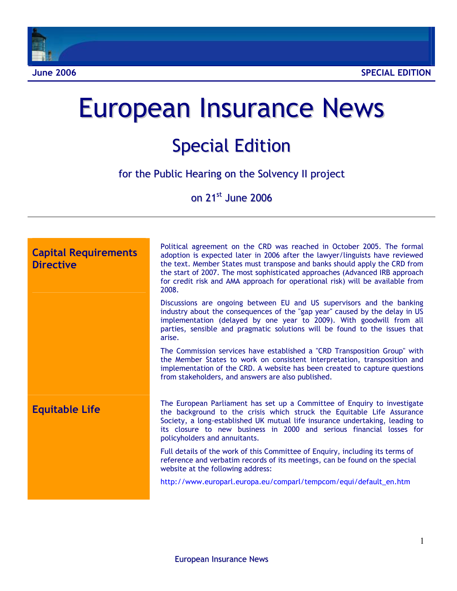

# European Insurance News

## Special Edition

for the Public Hearing on the Solvency II project

on 21<sup>st</sup> June 2006

| <b>Capital Requirements</b><br><b>Directive</b> | Political agreement on the CRD was reached in October 2005. The formal<br>adoption is expected later in 2006 after the lawyer/linguists have reviewed<br>the text. Member States must transpose and banks should apply the CRD from<br>the start of 2007. The most sophisticated approaches (Advanced IRB approach<br>for credit risk and AMA approach for operational risk) will be available from<br>2008. |
|-------------------------------------------------|--------------------------------------------------------------------------------------------------------------------------------------------------------------------------------------------------------------------------------------------------------------------------------------------------------------------------------------------------------------------------------------------------------------|
|                                                 | Discussions are ongoing between EU and US supervisors and the banking<br>industry about the consequences of the "gap year" caused by the delay in US<br>implementation (delayed by one year to 2009). With goodwill from all<br>parties, sensible and pragmatic solutions will be found to the issues that<br>arise.                                                                                         |
|                                                 | The Commission services have established a "CRD Transposition Group" with<br>the Member States to work on consistent interpretation, transposition and<br>implementation of the CRD. A website has been created to capture questions<br>from stakeholders, and answers are also published.                                                                                                                   |
| <b>Equitable Life</b>                           | The European Parliament has set up a Committee of Enquiry to investigate<br>the background to the crisis which struck the Equitable Life Assurance<br>Society, a long-established UK mutual life insurance undertaking, leading to<br>its closure to new business in 2000 and serious financial losses for<br>policyholders and annuitants.                                                                  |
|                                                 | Full details of the work of this Committee of Enquiry, including its terms of<br>reference and verbatim records of its meetings, can be found on the special<br>website at the following address:                                                                                                                                                                                                            |
|                                                 | http://www.europarl.europa.eu/comparl/tempcom/equi/default_en.htm                                                                                                                                                                                                                                                                                                                                            |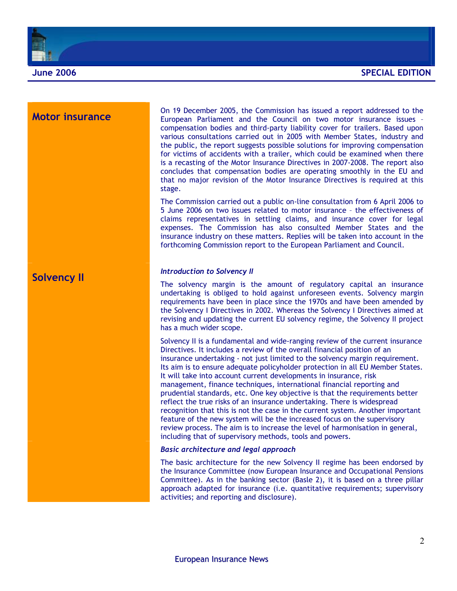

**Motor insurance On 19 December 2005, the Commission has issued a report addressed to the European Parliament and the Council on two motor insurance issues** compensation bodies and third-party liability cover for trailers. Based upon various consultations carried out in 2005 with Member States, industry and the public, the report suggests possible solutions for improving compensation for victims of accidents with a trailer, which could be examined when there is a recasting of the Motor Insurance Directives in 2007-2008. The report also concludes that compensation bodies are operating smoothly in the EU and that no major revision of the Motor Insurance Directives is required at this stage.

> The Commission carried out a public on-line consultation from 6 April 2006 to 5 June 2006 on two issues related to motor insurance – the effectiveness of claims representatives in settling claims, and insurance cover for legal expenses. The Commission has also consulted Member States and the insurance industry on these matters. Replies will be taken into account in the forthcoming Commission report to the European Parliament and Council.

### **Solvency II** *Introduction to Solvency II*

The solvency margin is the amount of regulatory capital an insurance undertaking is obliged to hold against unforeseen events. Solvency margin requirements have been in place since the 1970s and have been amended by the Solvency I Directives in 2002. Whereas the Solvency I Directives aimed at revising and updating the current EU solvency regime, the Solvency II project has a much wider scope.

Solvency II is a fundamental and wide-ranging review of the current insurance Directives. It includes a review of the overall financial position of an insurance undertaking - not just limited to the solvency margin requirement. Its aim is to ensure adequate policyholder protection in all EU Member States. It will take into account current developments in insurance, risk management, finance techniques, international financial reporting and prudential standards, etc. One key objective is that the requirements better reflect the true risks of an insurance undertaking. There is widespread recognition that this is not the case in the current system. Another important feature of the new system will be the increased focus on the supervisory review process. The aim is to increase the level of harmonisation in general, including that of supervisory methods, tools and powers.

### *Basic architecture and legal approach*

The basic architecture for the new Solvency II regime has been endorsed by the Insurance Committee (now European Insurance and Occupational Pensions Committee). As in the banking sector (Basle 2), it is based on a three pillar approach adapted for insurance (i.e. quantitative requirements; supervisory activities; and reporting and disclosure).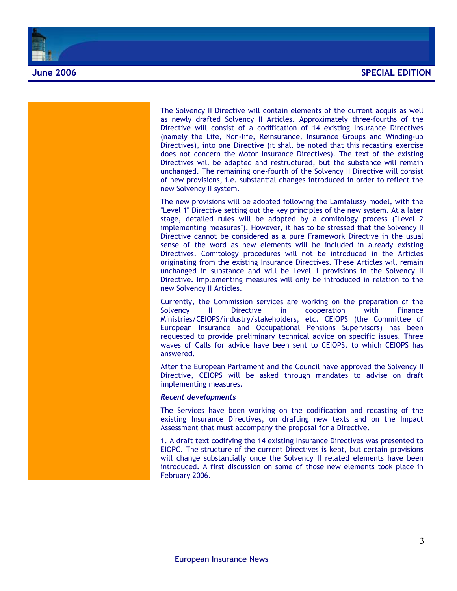

The Solvency II Directive will contain elements of the current acquis as well as newly drafted Solvency II Articles. Approximately three-fourths of the Directive will consist of a codification of 14 existing Insurance Directives (namely the Life, Non-life, Reinsurance, Insurance Groups and Winding-up Directives), into one Directive (it shall be noted that this recasting exercise does not concern the Motor Insurance Directives). The text of the existing Directives will be adapted and restructured, but the substance will remain unchanged. The remaining one-fourth of the Solvency II Directive will consist of new provisions, i.e. substantial changes introduced in order to reflect the new Solvency II system.

The new provisions will be adopted following the Lamfalussy model, with the "Level 1" Directive setting out the key principles of the new system. At a later stage, detailed rules will be adopted by a comitology process ("Level 2 implementing measures"). However, it has to be stressed that the Solvency II Directive cannot be considered as a pure Framework Directive in the usual sense of the word as new elements will be included in already existing Directives. Comitology procedures will not be introduced in the Articles originating from the existing Insurance Directives. These Articles will remain unchanged in substance and will be Level 1 provisions in the Solvency II Directive. Implementing measures will only be introduced in relation to the new Solvency II Articles.

Currently, the Commission services are working on the preparation of the Solvency II Directive in cooperation with Finance Ministries/CEIOPS/industry/stakeholders, etc. CEIOPS (the Committee of European Insurance and Occupational Pensions Supervisors) has been requested to provide preliminary technical advice on specific issues. Three waves of Calls for advice have been sent to CEIOPS, to which CEIOPS has answered.

After the European Parliament and the Council have approved the Solvency II Directive, CEIOPS will be asked through mandates to advise on draft implementing measures.

### *Recent developments*

The Services have been working on the codification and recasting of the existing Insurance Directives, on drafting new texts and on the Impact Assessment that must accompany the proposal for a Directive.

1. A draft text codifying the 14 existing Insurance Directives was presented to EIOPC. The structure of the current Directives is kept, but certain provisions will change substantially once the Solvency II related elements have been introduced. A first discussion on some of those new elements took place in February 2006.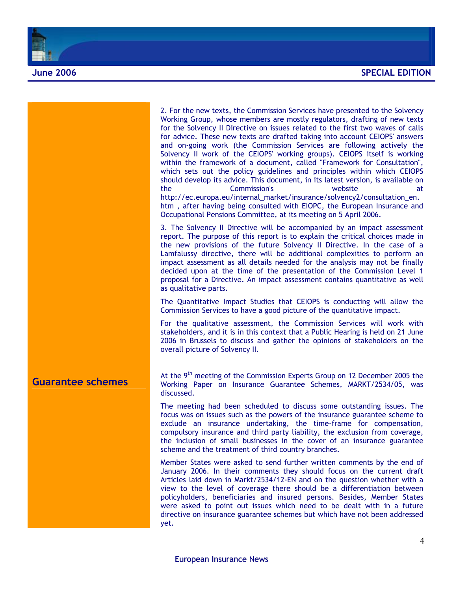

|                          | 2. For the new texts, the Commission Services have presented to the Solvency<br>Working Group, whose members are mostly regulators, drafting of new texts<br>for the Solvency II Directive on issues related to the first two waves of calls<br>for advice. These new texts are drafted taking into account CEIOPS' answers<br>and on-going work (the Commission Services are following actively the<br>Solvency II work of the CEIOPS' working groups). CEIOPS itself is working<br>within the framework of a document, called "Framework for Consultation",<br>which sets out the policy guidelines and principles within which CEIOPS<br>should develop its advice. This document, in its latest version, is available on<br><b>Commission's</b><br>website<br>the<br>at<br>http://ec.europa.eu/internal_market/insurance/solvency2/consultation_en.<br>htm, after having being consulted with EIOPC, the European Insurance and<br>Occupational Pensions Committee, at its meeting on 5 April 2006. |
|--------------------------|---------------------------------------------------------------------------------------------------------------------------------------------------------------------------------------------------------------------------------------------------------------------------------------------------------------------------------------------------------------------------------------------------------------------------------------------------------------------------------------------------------------------------------------------------------------------------------------------------------------------------------------------------------------------------------------------------------------------------------------------------------------------------------------------------------------------------------------------------------------------------------------------------------------------------------------------------------------------------------------------------------|
|                          | 3. The Solvency II Directive will be accompanied by an impact assessment<br>report. The purpose of this report is to explain the critical choices made in<br>the new provisions of the future Solvency II Directive. In the case of a<br>Lamfalussy directive, there will be additional complexities to perform an<br>impact assessment as all details needed for the analysis may not be finally<br>decided upon at the time of the presentation of the Commission Level 1<br>proposal for a Directive. An impact assessment contains quantitative as well<br>as qualitative parts.                                                                                                                                                                                                                                                                                                                                                                                                                    |
|                          | The Quantitative Impact Studies that CEIOPS is conducting will allow the<br>Commission Services to have a good picture of the quantitative impact.                                                                                                                                                                                                                                                                                                                                                                                                                                                                                                                                                                                                                                                                                                                                                                                                                                                      |
|                          | For the qualitative assessment, the Commission Services will work with<br>stakeholders, and it is in this context that a Public Hearing is held on 21 June<br>2006 in Brussels to discuss and gather the opinions of stakeholders on the<br>overall picture of Solvency II.                                                                                                                                                                                                                                                                                                                                                                                                                                                                                                                                                                                                                                                                                                                             |
| <b>Guarantee schemes</b> | At the 9 <sup>th</sup> meeting of the Commission Experts Group on 12 December 2005 the<br>Working Paper on Insurance Guarantee Schemes, MARKT/2534/05, was<br>discussed.                                                                                                                                                                                                                                                                                                                                                                                                                                                                                                                                                                                                                                                                                                                                                                                                                                |
|                          | The meeting had been scheduled to discuss some outstanding issues. The<br>focus was on issues such as the powers of the insurance guarantee scheme to<br>exclude an insurance undertaking, the time-frame for compensation,<br>compulsory insurance and third party liability, the exclusion from coverage,<br>the inclusion of small businesses in the cover of an insurance guarantee<br>scheme and the treatment of third country branches.                                                                                                                                                                                                                                                                                                                                                                                                                                                                                                                                                          |
|                          | Member States were asked to send further written comments by the end of<br>January 2006. In their comments they should focus on the current draft<br>Articles laid down in Markt/2534/12-EN and on the question whether with a<br>view to the level of coverage there should be a differentiation between<br>policyholders, beneficiaries and insured persons. Besides, Member States<br>were asked to point out issues which need to be dealt with in a future<br>directive on insurance guarantee schemes but which have not been addressed<br>yet.                                                                                                                                                                                                                                                                                                                                                                                                                                                   |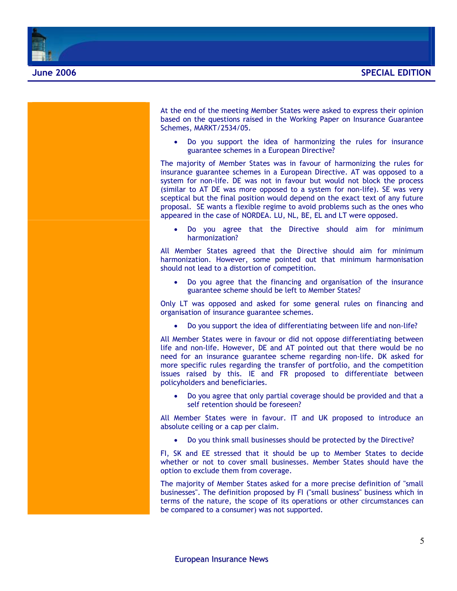

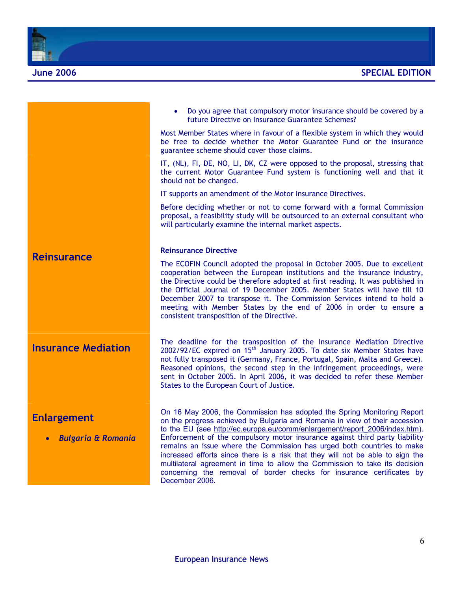

|                                                     | Do you agree that compulsory motor insurance should be covered by a<br>future Directive on Insurance Guarantee Schemes?                                                                                                                                                                                                                                                                                                                                                                                                                                                                                                                                    |
|-----------------------------------------------------|------------------------------------------------------------------------------------------------------------------------------------------------------------------------------------------------------------------------------------------------------------------------------------------------------------------------------------------------------------------------------------------------------------------------------------------------------------------------------------------------------------------------------------------------------------------------------------------------------------------------------------------------------------|
|                                                     | Most Member States where in favour of a flexible system in which they would<br>be free to decide whether the Motor Guarantee Fund or the insurance<br>guarantee scheme should cover those claims.                                                                                                                                                                                                                                                                                                                                                                                                                                                          |
|                                                     | IT, (NL), FI, DE, NO, LI, DK, CZ were opposed to the proposal, stressing that<br>the current Motor Guarantee Fund system is functioning well and that it<br>should not be changed.                                                                                                                                                                                                                                                                                                                                                                                                                                                                         |
|                                                     | IT supports an amendment of the Motor Insurance Directives.                                                                                                                                                                                                                                                                                                                                                                                                                                                                                                                                                                                                |
|                                                     | Before deciding whether or not to come forward with a formal Commission<br>proposal, a feasibility study will be outsourced to an external consultant who<br>will particularly examine the internal market aspects.                                                                                                                                                                                                                                                                                                                                                                                                                                        |
|                                                     | <b>Reinsurance Directive</b>                                                                                                                                                                                                                                                                                                                                                                                                                                                                                                                                                                                                                               |
| <b>Reinsurance</b>                                  | The ECOFIN Council adopted the proposal in October 2005. Due to excellent<br>cooperation between the European institutions and the insurance industry,<br>the Directive could be therefore adopted at first reading. It was published in<br>the Official Journal of 19 December 2005. Member States will have till 10<br>December 2007 to transpose it. The Commission Services intend to hold a<br>meeting with Member States by the end of 2006 in order to ensure a<br>consistent transposition of the Directive.                                                                                                                                       |
| <b>Insurance Mediation</b>                          | The deadline for the transposition of the Insurance Mediation Directive<br>2002/92/EC expired on 15 <sup>th</sup> January 2005. To date six Member States have<br>not fully transposed it (Germany, France, Portugal, Spain, Malta and Greece).<br>Reasoned opinions, the second step in the infringement proceedings, were<br>sent in October 2005. In April 2006, it was decided to refer these Member<br>States to the European Court of Justice.                                                                                                                                                                                                       |
| <b>Enlargement</b><br><b>Bulgaria &amp; Romania</b> | On 16 May 2006, the Commission has adopted the Spring Monitoring Report<br>on the progress achieved by Bulgaria and Romania in view of their accession<br>to the EU (see http://ec.europa.eu/comm/enlargement/report 2006/index.htm).<br>Enforcement of the compulsory motor insurance against third party liability<br>remains an issue where the Commission has urged both countries to make<br>increased efforts since there is a risk that they will not be able to sign the<br>multilateral agreement in time to allow the Commission to take its decision<br>concerning the removal of border checks for insurance certificates by<br>December 2006. |
|                                                     |                                                                                                                                                                                                                                                                                                                                                                                                                                                                                                                                                                                                                                                            |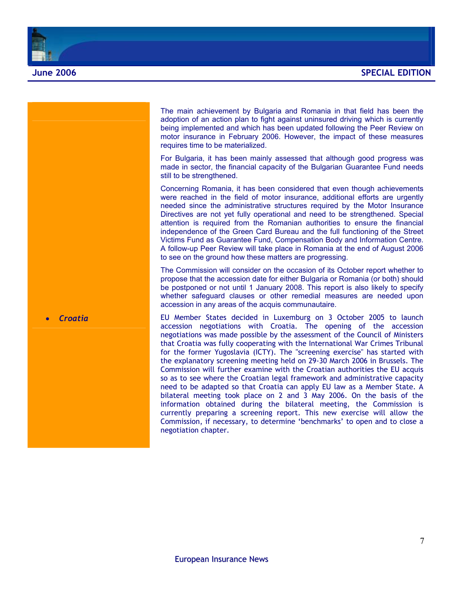

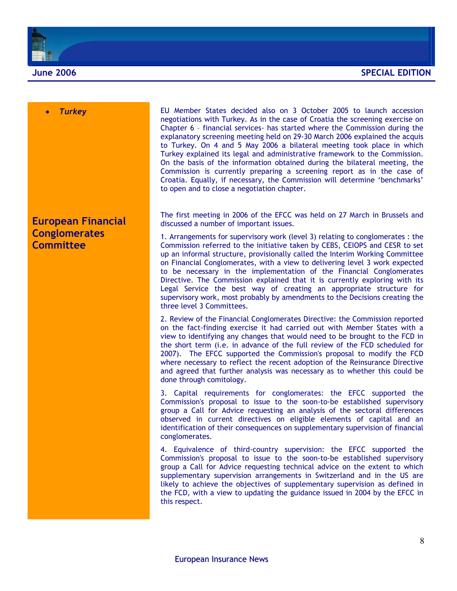



### **European Financial Conglomerates Committee**

**Furkey Turkey COVID EU** Member States decided also on 3 October 2005 to launch accession negotiations with Turkey. As in the case of Croatia the screening exercise on Chapter 6 – financial services- has started where the Commission during the explanatory screening meeting held on 29-30 March 2006 explained the acquis to Turkey. On 4 and 5 May 2006 a bilateral meeting took place in which Turkey explained its legal and administrative framework to the Commission. On the basis of the information obtained during the bilateral meeting, the Commission is currently preparing a screening report as in the case of Croatia. Equally, if necessary, the Commission will determine 'benchmarks' to open and to close a negotiation chapter.

> The first meeting in 2006 of the EFCC was held on 27 March in Brussels and discussed a number of important issues.

> 1. Arrangements for supervisory work (level 3) relating to conglomerates : the Commission referred to the initiative taken by CEBS, CEIOPS and CESR to set up an informal structure, provisionally called the Interim Working Committee on Financial Conglomerates, with a view to delivering level 3 work expected to be necessary in the implementation of the Financial Conglomerates Directive. The Commission explained that it is currently exploring with its Legal Service the best way of creating an appropriate structure for supervisory work, most probably by amendments to the Decisions creating the three level 3 Committees.

> 2. Review of the Financial Conglomerates Directive: the Commission reported on the fact-finding exercise it had carried out with Member States with a view to identifying any changes that would need to be brought to the FCD in the short term (i.e. in advance of the full review of the FCD scheduled for 2007). The EFCC supported the Commission's proposal to modify the FCD where necessary to reflect the recent adoption of the Reinsurance Directive and agreed that further analysis was necessary as to whether this could be done through comitology.

> 3. Capital requirements for conglomerates: the EFCC supported the Commission's proposal to issue to the soon-to-be established supervisory group a Call for Advice requesting an analysis of the sectoral differences observed in current directives on eligible elements of capital and an identification of their consequences on supplementary supervision of financial conglomerates.

> 4. Equivalence of third-country supervision: the EFCC supported the Commission's proposal to issue to the soon-to-be established supervisory group a Call for Advice requesting technical advice on the extent to which supplementary supervision arrangements in Switzerland and in the US are likely to achieve the objectives of supplementary supervision as defined in the FCD, with a view to updating the guidance issued in 2004 by the EFCC in this respect.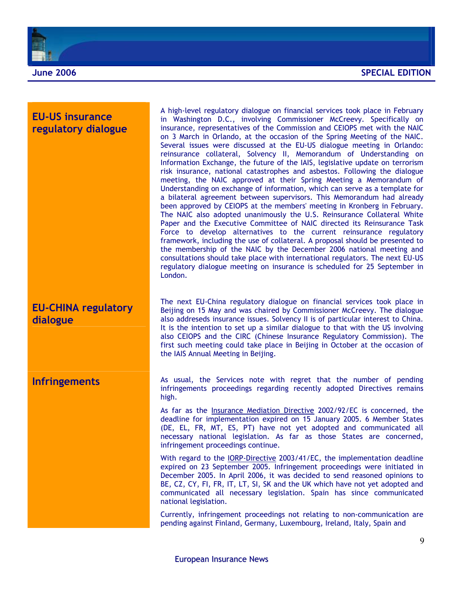

### **EU-US insurance regulatory dialogue**

### **EU-CHINA regulatory dialogue**

A high-level regulatory dialogue on financial services took place in February in Washington D.C., involving Commissioner McCreevy. Specifically on insurance, representatives of the Commission and CEIOPS met with the NAIC on 3 March in Orlando, at the occasion of the Spring Meeting of the NAIC. Several issues were discussed at the EU-US dialogue meeting in Orlando: reinsurance collateral, Solvency II, Memorandum of Understanding on Information Exchange, the future of the IAIS, legislative update on terrorism risk insurance, national catastrophes and asbestos. Following the dialogue meeting, the NAIC approved at their Spring Meeting a Memorandum of Understanding on exchange of information, which can serve as a template for a bilateral agreement between supervisors. This Memorandum had already been approved by CEIOPS at the members' meeting in Kronberg in February. The NAIC also adopted unanimously the U.S. Reinsurance Collateral White Paper and the Executive Committee of NAIC directed its Reinsurance Task Force to develop alternatives to the current reinsurance regulatory framework, including the use of collateral. A proposal should be presented to the membership of the NAIC by the December 2006 national meeting and consultations should take place with international regulators. The next EU-US regulatory dialogue meeting on insurance is scheduled for 25 September in London.

The next EU-China regulatory dialogue on financial services took place in Beijing on 15 May and was chaired by Commissioner McCreevy. The dialogue also addreseds insurance issues. Solvency II is of particular interest to China. It is the intention to set up a similar dialogue to that with the US involving also CEIOPS and the CIRC (Chinese Insurance Regulatory Commission). The first such meeting could take place in Beijing in October at the occasion of the IAIS Annual Meeting in Beijing.

**Infringements** As usual, the Services note with regret that the number of pending infringements proceedings regarding recently adopted Directives remains high.

> As far as the *Insurance Mediation Directive 2002/92/EC* is concerned, the deadline for implementation expired on 15 January 2005. 6 Member States (DE, EL, FR, MT, ES, PT) have not yet adopted and communicated all necessary national legislation. As far as those States are concerned, infringement proceedings continue.

> With regard to the IORP-Directive 2003/41/EC, the implementation deadline expired on 23 September 2005. Infringement proceedings were initiated in December 2005. In April 2006, it was decided to send reasoned opinions to BE, CZ, CY, FI, FR, IT, LT, SI, SK and the UK which have not yet adopted and communicated all necessary legislation. Spain has since communicated national legislation.

> Currently, infringement proceedings not relating to non-communication are pending against Finland, Germany, Luxembourg, Ireland, Italy, Spain and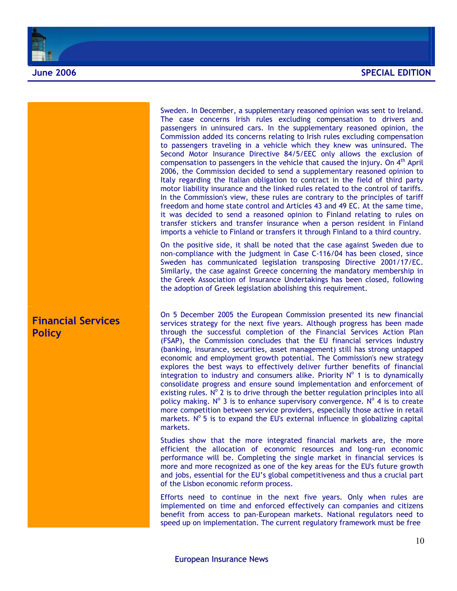

**Financial Services Policy** 

Sweden. In December, a supplementary reasoned opinion was sent to Ireland. The case concerns Irish rules excluding compensation to drivers and passengers in uninsured cars. In the supplementary reasoned opinion, the Commission added its concerns relating to Irish rules excluding compensation to passengers traveling in a vehicle which they knew was uninsured. The Second Motor Insurance Directive 84/5/EEC only allows the exclusion of compensation to passengers in the vehicle that caused the injury. On  $4<sup>th</sup>$  April 2006, the Commission decided to send a supplementary reasoned opinion to Italy regarding the Italian obligation to contract in the field of third party motor liability insurance and the linked rules related to the control of tariffs. In the Commission's view, these rules are contrary to the principles of tariff freedom and home state control and Articles 43 and 49 EC. At the same time, it was decided to send a reasoned opinion to Finland relating to rules on transfer stickers and transfer insurance when a person resident in Finland imports a vehicle to Finland or transfers it through Finland to a third country.

On the positive side, it shall be noted that the case against Sweden due to non-compliance with the judgment in Case C-116/04 has been closed, since Sweden has communicated legislation transposing Directive 2001/17/EC. Similarly, the case against Greece concerning the mandatory membership in the Greek Association of Insurance Undertakings has been closed, following the adoption of Greek legislation abolishing this requirement.

On 5 December 2005 the European Commission presented its new financial services strategy for the next five years. Although progress has been made through the successful completion of the Financial Services Action Plan (FSAP), the Commission concludes that the EU financial services industry (banking, insurance, securities, asset management) still has strong untapped economic and employment growth potential. The Commission's new strategy explores the best ways to effectively deliver further benefits of financial integration to industry and consumers alike. Priority  $N^{\circ}$  1 is to dynamically consolidate progress and ensure sound implementation and enforcement of existing rules.  $N^{\circ}$  2 is to drive through the better regulation principles into all policy making. N° 3 is to enhance supervisory convergence. N° 4 is to create more competition between service providers, especially those active in retail markets.  $N^{\circ}$  5 is to expand the EU's external influence in globalizing capital markets.

Studies show that the more integrated financial markets are, the more efficient the allocation of economic resources and long-run economic performance will be. Completing the single market in financial services is more and more recognized as one of the key areas for the EU's future growth and jobs, essential for the EU's global competitiveness and thus a crucial part of the Lisbon economic reform process.

Efforts need to continue in the next five years. Only when rules are implemented on time and enforced effectively can companies and citizens benefit from access to pan-European markets. National regulators need to speed up on implementation. The current regulatory framework must be free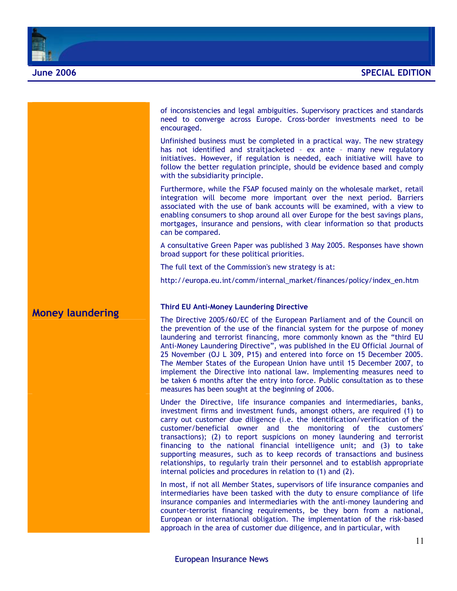



### European Insurance News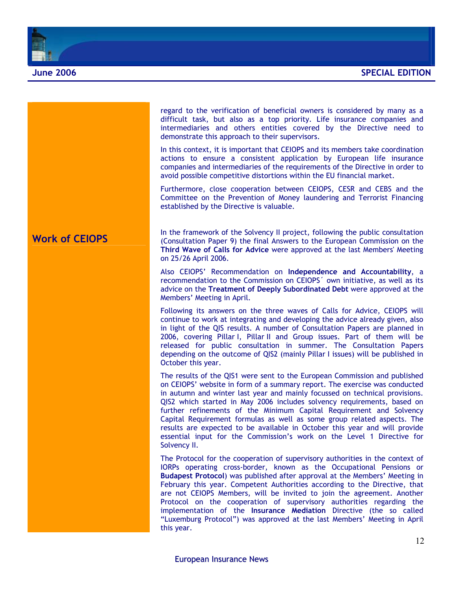

|                       | regard to the verification of beneficial owners is considered by many as a<br>difficult task, but also as a top priority. Life insurance companies and<br>intermediaries and others entities covered by the Directive need to<br>demonstrate this approach to their supervisors.                                                                                                                                                                                                                                                                                                                                                             |
|-----------------------|----------------------------------------------------------------------------------------------------------------------------------------------------------------------------------------------------------------------------------------------------------------------------------------------------------------------------------------------------------------------------------------------------------------------------------------------------------------------------------------------------------------------------------------------------------------------------------------------------------------------------------------------|
|                       | In this context, it is important that CEIOPS and its members take coordination<br>actions to ensure a consistent application by European life insurance<br>companies and intermediaries of the requirements of the Directive in order to<br>avoid possible competitive distortions within the EU financial market.                                                                                                                                                                                                                                                                                                                           |
|                       | Furthermore, close cooperation between CEIOPS, CESR and CEBS and the<br>Committee on the Prevention of Money laundering and Terrorist Financing<br>established by the Directive is valuable.                                                                                                                                                                                                                                                                                                                                                                                                                                                 |
| <b>Work of CEIOPS</b> | In the framework of the Solvency II project, following the public consultation<br>(Consultation Paper 9) the final Answers to the European Commission on the<br>Third Wave of Calls for Advice were approved at the last Members' Meeting<br>on 25/26 April 2006.                                                                                                                                                                                                                                                                                                                                                                            |
|                       | Also CEIOPS' Recommendation on Independence and Accountability, a<br>recommendation to the Commission on CEIOPS' own initiative, as well as its<br>advice on the Treatment of Deeply Subordinated Debt were approved at the<br>Members' Meeting in April.                                                                                                                                                                                                                                                                                                                                                                                    |
|                       | Following its answers on the three waves of Calls for Advice, CEIOPS will<br>continue to work at integrating and developing the advice already given, also<br>in light of the QIS results. A number of Consultation Papers are planned in<br>2006, covering Pillar I, Pillar II and Group issues. Part of them will be<br>released for public consultation in summer. The Consultation Papers<br>depending on the outcome of QIS2 (mainly Pillar I issues) will be published in<br>October this year.                                                                                                                                        |
|                       | The results of the QIS1 were sent to the European Commission and published<br>on CEIOPS' website in form of a summary report. The exercise was conducted<br>in autumn and winter last year and mainly focussed on technical provisions.<br>QIS2 which started in May 2006 includes solvency requirements, based on<br>further refinements of the Minimum Capital Requirement and Solvency<br>Capital Requirement formulas as well as some group related aspects. The<br>results are expected to be available in October this year and will provide<br>essential input for the Commission's work on the Level 1 Directive for<br>Solvency II. |
|                       | The Protocol for the cooperation of supervisory authorities in the context of<br>IORPs operating cross-border, known as the Occupational Pensions or<br>Budapest Protocol) was published after approval at the Members' Meeting in<br>February this year. Competent Authorities according to the Directive, that<br>are not CEIOPS Members, will be invited to join the agreement. Another<br>Protocol on the cooperation of supervisory authorities regarding the<br>implementation of the Insurance Mediation Directive (the so called<br>"Luxemburg Protocol") was approved at the last Members' Meeting in April<br>this year.           |
|                       | 12                                                                                                                                                                                                                                                                                                                                                                                                                                                                                                                                                                                                                                           |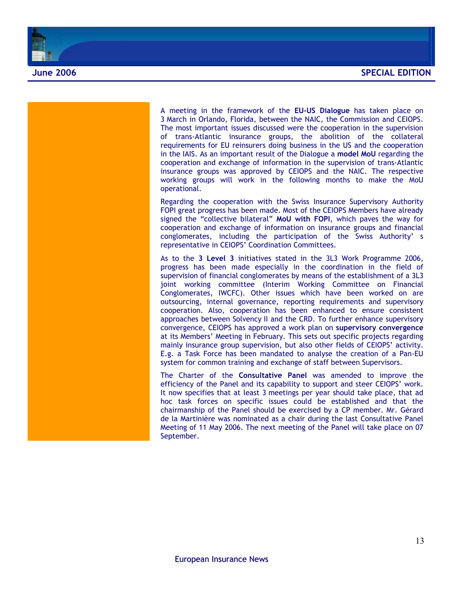

A meeting in the framework of the **EU-US Dialogue** has taken place on 3 March in Orlando, Florida, between the NAIC, the Commission and CEIOPS. The most important issues discussed were the cooperation in the supervision of trans-Atlantic insurance groups, the abolition of the collateral requirements for EU reinsurers doing business in the US and the cooperation in the IAIS. As an important result of the Dialogue a **model MoU** regarding the cooperation and exchange of information in the supervision of trans-Atlantic insurance groups was approved by CEIOPS and the NAIC. The respective working groups will work in the following months to make the MoU operational.

Regarding the cooperation with the Swiss Insurance Supervisory Authority FOPI great progress has been made. Most of the CEIOPS Members have already signed the "collective bilateral" **MoU with FOPI**, which paves the way for cooperation and exchange of information on insurance groups and financial conglomerates, including the participation of the Swiss Authority' s representative in CEIOPS' Coordination Committees.

As to the **3 Level 3** initiatives stated in the 3L3 Work Programme 2006, progress has been made especially in the coordination in the field of supervision of financial conglomerates by means of the establishment of a 3L3 joint working committee (Interim Working Committee on Financial Conglomerates, IWCFC). Other issues which have been worked on are outsourcing, internal governance, reporting requirements and supervisory cooperation. Also, cooperation has been enhanced to ensure consistent approaches between Solvency II and the CRD. To further enhance supervisory convergence, CEIOPS has approved a work plan on **supervisory convergence** at its Members' Meeting in February. This sets out specific projects regarding mainly insurance group supervision, but also other fields of CEIOPS' activity. E.g. a Task Force has been mandated to analyse the creation of a Pan-EU system for common training and exchange of staff between Supervisors.

The Charter of the **Consultative Panel** was amended to improve the efficiency of the Panel and its capability to support and steer CEIOPS' work. It now specifies that at least 3 meetings per year should take place, that ad hoc task forces on specific issues could be established and that the chairmanship of the Panel should be exercised by a CP member. Mr. Gérard de la Martinière was nominated as a chair during the last Consultative Panel Meeting of 11 May 2006. The next meeting of the Panel will take place on 07 September.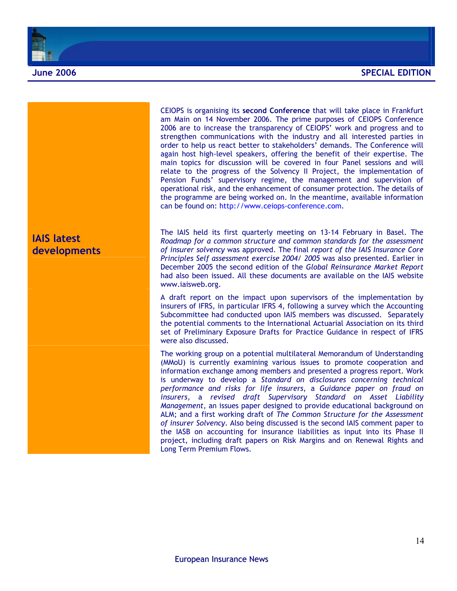



strengthen communications with the industry and all interested parties in order to help us react better to stakeholders' demands. The Conference will again host high-level speakers, offering the benefit of their expertise. The main topics for discussion will be covered in four Panel sessions and will relate to the progress of the Solvency II Project, the implementation of Pension Funds' supervisory regime, the management and supervision of operational risk, and the enhancement of consumer protection. The details of the programme are being worked on. In the meantime, available information can be found on: http://www.ceiops-conference.com.

CEIOPS is organising its **second Conference** that will take place in Frankfurt am Main on 14 November 2006. The prime purposes of CEIOPS Conference 2006 are to increase the transparency of CEIOPS' work and progress and to

The IAIS held its first quarterly meeting on 13-14 February in Basel. The *Roadmap for a common structure and common standards for the assessment of insurer solvency* was approved. The final *report of the IAIS Insurance Core Principles Self assessment exercise 2004/ 2005* was also presented. Earlier in December 2005 the second edition of the *Global Reinsurance Market Report*  had also been issued. All these documents are available on the IAIS website www.iaisweb.org.

A draft report on the impact upon supervisors of the implementation by insurers of IFRS, in particular IFRS 4, following a survey which the Accounting Subcommittee had conducted upon IAIS members was discussed. Separately the potential comments to the International Actuarial Association on its third set of Preliminary Exposure Drafts for Practice Guidance in respect of IFRS were also discussed.

The working group on a potential multilateral Memorandum of Understanding (MMoU) is currently examining various issues to promote cooperation and information exchange among members and presented a progress report. Work is underway to develop a *Standard on disclosures concerning technical performance and risks for life insurers*, a *Guidance paper on fraud on insurers*, a *revised draft Supervisory Standard on Asset Liability Management*, an issues paper designed to provide educational background on ALM; and a first working draft of *The Common Structure for the Assessment of insurer Solvency*. Also being discussed is the second IAIS comment paper to the IASB on accounting for insurance liabilities as input into its Phase II project, including draft papers on Risk Margins and on Renewal Rights and Long Term Premium Flows.

**IAIS latest developments**